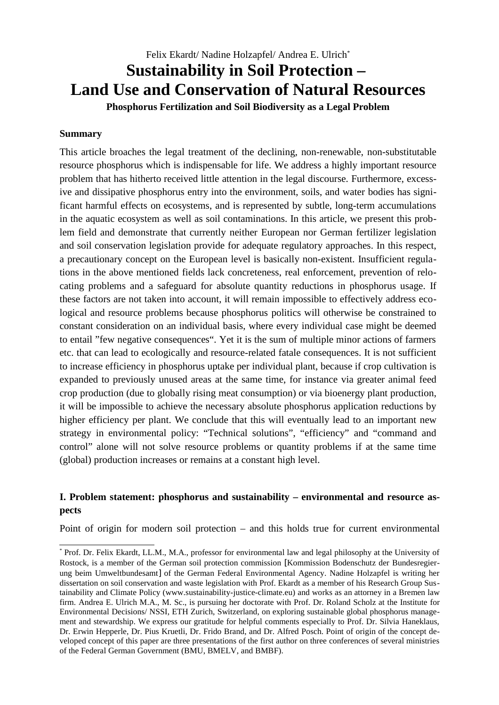# Felix Ekardt/ Nadine Holzapfel/ Andrea E. Ulrich\* **Sustainability in Soil Protection – Land Use and Conservation of Natural Resources**

**Phosphorus Fertilization and Soil Biodiversity as a Legal Problem**

### **Summary**

This article broaches the legal treatment of the declining, non-renewable, non-substitutable resource phosphorus which is indispensable for life. We address a highly important resource problem that has hitherto received little attention in the legal discourse. Furthermore, excessive and dissipative phosphorus entry into the environment, soils, and water bodies has significant harmful effects on ecosystems, and is represented by subtle, long-term accumulations in the aquatic ecosystem as well as soil contaminations. In this article, we present this problem field and demonstrate that currently neither European nor German fertilizer legislation and soil conservation legislation provide for adequate regulatory approaches. In this respect, a precautionary concept on the European level is basically non-existent. Insufficient regulations in the above mentioned fields lack concreteness, real enforcement, prevention of relocating problems and a safeguard for absolute quantity reductions in phosphorus usage. If these factors are not taken into account, it will remain impossible to effectively address ecological and resource problems because phosphorus politics will otherwise be constrained to constant consideration on an individual basis, where every individual case might be deemed to entail "few negative consequences". Yet it is the sum of multiple minor actions of farmers etc. that can lead to ecologically and resource-related fatale consequences. It is not sufficient to increase efficiency in phosphorus uptake per individual plant, because if crop cultivation is expanded to previously unused areas at the same time, for instance via greater animal feed crop production (due to globally rising meat consumption) or via bioenergy plant production, it will be impossible to achieve the necessary absolute phosphorus application reductions by higher efficiency per plant. We conclude that this will eventually lead to an important new strategy in environmental policy: "Technical solutions", "efficiency" and "command and control" alone will not solve resource problems or quantity problems if at the same time (global) production increases or remains at a constant high level.

# **I. Problem statement: phosphorus and sustainability – environmental and resource aspects**

Point of origin for modern soil protection – and this holds true for current environmental

<sup>\*</sup> Prof. Dr. Felix Ekardt, LL.M., M.A., professor for environmental law and legal philosophy at the University of Rostock, is a member of the German soil protection commission [Kommission Bodenschutz der Bundesregierung beim Umweltbundesamt] of the German Federal Environmental Agency. Nadine Holzapfel is writing her dissertation on soil conservation and waste legislation with Prof. Ekardt as a member of his Research Group Sustainability and Climate Policy (www.sustainability-justice-climate.eu) and works as an attorney in a Bremen law firm. Andrea E. Ulrich M.A., M. Sc., is pursuing her doctorate with Prof. Dr. Roland Scholz at the Institute for Environmental Decisions/ NSSI, ETH Zurich, Switzerland, on exploring sustainable global phosphorus management and stewardship. We express our gratitude for helpful comments especially to Prof. Dr. Silvia Haneklaus, Dr. Erwin Hepperle, Dr. Pius Kruetli, Dr. Frido Brand, and Dr. Alfred Posch. Point of origin of the concept developed concept of this paper are three presentations of the first author on three conferences of several ministries of the Federal German Government (BMU, BMELV, and BMBF).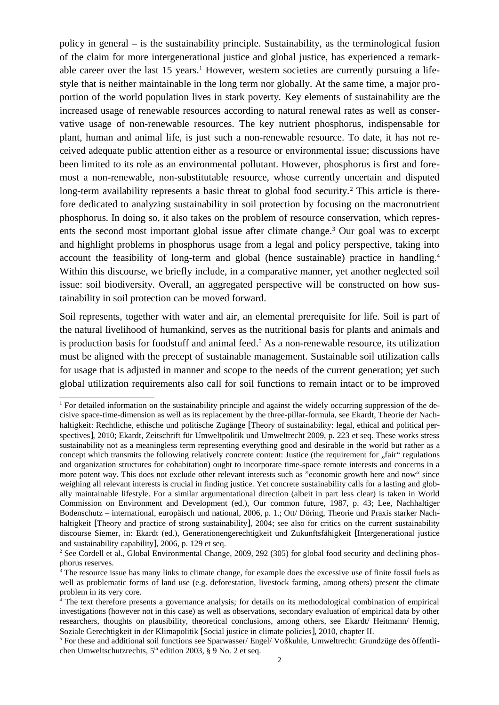policy in general – is the sustainability principle. Sustainability, as the terminological fusion of the claim for more intergenerational justice and global justice, has experienced a remarkable career over the last 15 years.<sup>1</sup> However, western societies are currently pursuing a lifestyle that is neither maintainable in the long term nor globally. At the same time, a major proportion of the world population lives in stark poverty. Key elements of sustainability are the increased usage of renewable resources according to natural renewal rates as well as conservative usage of non-renewable resources. The key nutrient phosphorus, indispensable for plant, human and animal life, is just such a non-renewable resource. To date, it has not received adequate public attention either as a resource or environmental issue; discussions have been limited to its role as an environmental pollutant. However, phosphorus is first and foremost a non-renewable, non-substitutable resource, whose currently uncertain and disputed long-term availability represents a basic threat to global food security.<sup>2</sup> This article is therefore dedicated to analyzing sustainability in soil protection by focusing on the macronutrient phosphorus. In doing so, it also takes on the problem of resource conservation, which represents the second most important global issue after climate change.<sup>3</sup> Our goal was to excerpt and highlight problems in phosphorus usage from a legal and policy perspective, taking into account the feasibility of long-term and global (hence sustainable) practice in handling.<sup>4</sup> Within this discourse, we briefly include, in a comparative manner, yet another neglected soil issue: soil biodiversity. Overall, an aggregated perspective will be constructed on how sustainability in soil protection can be moved forward.

Soil represents, together with water and air, an elemental prerequisite for life. Soil is part of the natural livelihood of humankind, serves as the nutritional basis for plants and animals and is production basis for foodstuff and animal feed.<sup>5</sup> As a non-renewable resource, its utilization must be aligned with the precept of sustainable management. Sustainable soil utilization calls for usage that is adjusted in manner and scope to the needs of the current generation; yet such global utilization requirements also call for soil functions to remain intact or to be improved

<sup>&</sup>lt;sup>1</sup> For detailed information on the sustainability principle and against the widely occurring suppression of the decisive space-time-dimension as well as its replacement by the three-pillar-formula, see Ekardt, Theorie der Nachhaltigkeit: Rechtliche, ethische und politische Zugänge [Theory of sustainability: legal, ethical and political perspectives], 2010; Ekardt, Zeitschrift für Umweltpolitik und Umweltrecht 2009, p. 223 et seq. These works stress sustainability not as a meaningless term representing everything good and desirable in the world but rather as a concept which transmits the following relatively concrete content: Justice (the requirement for "fair" regulations and organization structures for cohabitation) ought to incorporate time-space remote interests and concerns in a more potent way. This does not exclude other relevant interests such as "economic growth here and now" since weighing all relevant interests is crucial in finding justice. Yet concrete sustainability calls for a lasting and globally maintainable lifestyle. For a similar argumentational direction (albeit in part less clear) is taken in World Commission on Environment and Development (ed.), Our common future, 1987, p. 43; Lee, Nachhaltiger Bodenschutz – international, europäisch und national, 2006, p. 1.; Ott/ Döring, Theorie und Praxis starker Nachhaltigkeit [Theory and practice of strong sustainability], 2004; see also for critics on the current sustainability discourse Siemer, in: Ekardt (ed.), Generationengerechtigkeit und Zukunftsfähigkeit [Intergenerational justice and sustainability capability], 2006, p. 129 et seq.

<sup>&</sup>lt;sup>2</sup> See Cordell et al., Global Environmental Change, 2009, 292 (305) for global food security and declining phosphorus reserves.

<sup>&</sup>lt;sup>3</sup> The resource issue has many links to climate change, for example does the excessive use of finite fossil fuels as well as problematic forms of land use (e.g. deforestation, livestock farming, among others) present the climate problem in its very core.

<sup>4</sup> The text therefore presents a governance analysis; for details on its methodological combination of empirical investigations (however not in this case) as well as observations, secondary evaluation of empirical data by other researchers, thoughts on plausibility, theoretical conclusions, among others, see Ekardt/ Heitmann/ Hennig, Soziale Gerechtigkeit in der Klimapolitik [Social justice in climate policies], 2010, chapter II.

<sup>5</sup> For these and additional soil functions see Sparwasser/ Engel/ Voßkuhle, Umweltrecht: Grundzüge des öffentlichen Umweltschutzrechts,  $5<sup>th</sup>$  edition 2003, § 9 No. 2 et seq.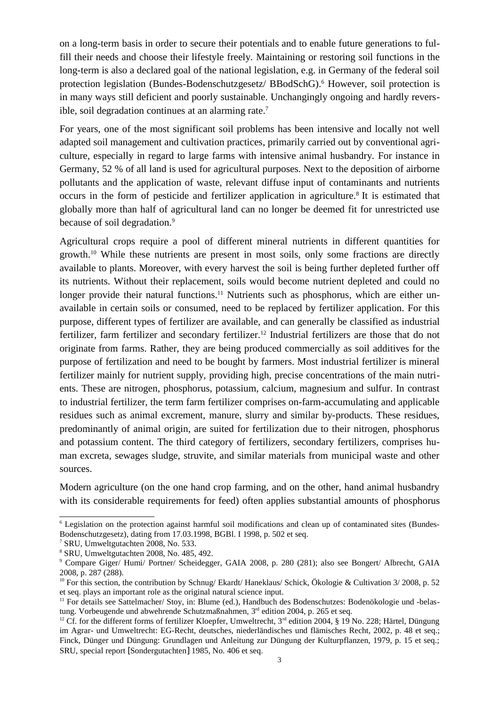on a long-term basis in order to secure their potentials and to enable future generations to fulfill their needs and choose their lifestyle freely. Maintaining or restoring soil functions in the long-term is also a declared goal of the national legislation, e.g. in Germany of the federal soil protection legislation (Bundes-Bodenschutzgesetz/ BBodSchG).<sup>6</sup> However, soil protection is in many ways still deficient and poorly sustainable. Unchangingly ongoing and hardly reversible, soil degradation continues at an alarming rate.<sup>7</sup>

For years, one of the most significant soil problems has been intensive and locally not well adapted soil management and cultivation practices, primarily carried out by conventional agriculture, especially in regard to large farms with intensive animal husbandry. For instance in Germany, 52 % of all land is used for agricultural purposes. Next to the deposition of airborne pollutants and the application of waste, relevant diffuse input of contaminants and nutrients occurs in the form of pesticide and fertilizer application in agriculture.<sup>8</sup> It is estimated that globally more than half of agricultural land can no longer be deemed fit for unrestricted use because of soil degradation.<sup>9</sup>

Agricultural crops require a pool of different mineral nutrients in different quantities for growth.<sup>10</sup> While these nutrients are present in most soils, only some fractions are directly available to plants. Moreover, with every harvest the soil is being further depleted further off its nutrients. Without their replacement, soils would become nutrient depleted and could no longer provide their natural functions.<sup>11</sup> Nutrients such as phosphorus, which are either unavailable in certain soils or consumed, need to be replaced by fertilizer application. For this purpose, different types of fertilizer are available, and can generally be classified as industrial fertilizer, farm fertilizer and secondary fertilizer.<sup>12</sup> Industrial fertilizers are those that do not originate from farms. Rather, they are being produced commercially as soil additives for the purpose of fertilization and need to be bought by farmers. Most industrial fertilizer is mineral fertilizer mainly for nutrient supply, providing high, precise concentrations of the main nutrients. These are nitrogen, phosphorus, potassium, calcium, magnesium and sulfur. In contrast to industrial fertilizer, the term farm fertilizer comprises on-farm-accumulating and applicable residues such as animal excrement, manure, slurry and similar by-products. These residues, predominantly of animal origin, are suited for fertilization due to their nitrogen, phosphorus and potassium content. The third category of fertilizers, secondary fertilizers, comprises human excreta, sewages sludge, struvite, and similar materials from municipal waste and other sources.

Modern agriculture (on the one hand crop farming, and on the other, hand animal husbandry with its considerable requirements for feed) often applies substantial amounts of phosphorus

<sup>&</sup>lt;sup>6</sup> Legislation on the protection against harmful soil modifications and clean up of contaminated sites (Bundes-Bodenschutzgesetz), dating from 17.03.1998, BGBl. I 1998, p. 502 et seq.

<sup>7</sup> SRU, Umweltgutachten 2008, No. 533.

<sup>8</sup> SRU, Umweltgutachten 2008, No. 485, 492.

<sup>9</sup> Compare Giger/ Humi/ Portner/ Scheidegger, GAIA 2008, p. 280 (281); also see Bongert/ Albrecht, GAIA 2008, p. 287 (288).

<sup>&</sup>lt;sup>10</sup> For this section, the contribution by Schnug/ Ekardt/ Haneklaus/ Schick, Ökologie & Cultivation 3/ 2008, p. 52 et seq. plays an important role as the original natural science input.

<sup>11</sup> For details see Sattelmacher/ Stoy, in: Blume (ed.), Handbuch des Bodenschutzes: Bodenökologie und -belastung. Vorbeugende und abwehrende Schutzmaßnahmen, 3<sup>rd</sup> edition 2004, p. 265 et seq.

<sup>&</sup>lt;sup>12</sup> Cf. for the different forms of fertilizer Kloepfer, Umweltrecht, 3<sup>rd</sup> edition 2004, § 19 No. 228; Härtel, Düngung im Agrar- und Umweltrecht: EG-Recht, deutsches, niederländisches und flämisches Recht, 2002, p. 48 et seq.; Finck, Dünger und Düngung: Grundlagen und Anleitung zur Düngung der Kulturpflanzen, 1979, p. 15 et seq.; SRU, special report [Sondergutachten] 1985, No. 406 et seq.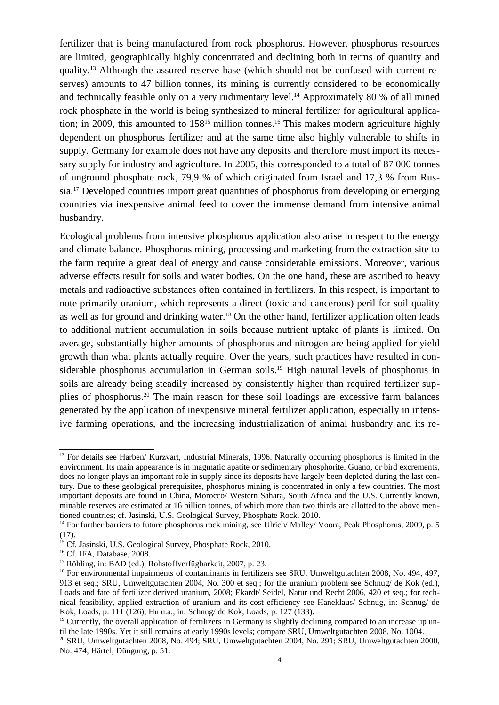fertilizer that is being manufactured from rock phosphorus. However, phosphorus resources are limited, geographically highly concentrated and declining both in terms of quantity and quality.13 Although the assured reserve base (which should not be confused with current reserves) amounts to 47 billion tonnes, its mining is currently considered to be economically and technically feasible only on a very rudimentary level.<sup>14</sup> Approximately 80 % of all mined rock phosphate in the world is being synthesized to mineral fertilizer for agricultural application; in 2009, this amounted to  $158^{15}$  million tonnes.<sup>16</sup> This makes modern agriculture highly dependent on phosphorus fertilizer and at the same time also highly vulnerable to shifts in supply. Germany for example does not have any deposits and therefore must import its necessary supply for industry and agriculture. In 2005, this corresponded to a total of 87 000 tonnes of unground phosphate rock, 79,9 % of which originated from Israel and 17,3 % from Russia.<sup>17</sup> Developed countries import great quantities of phosphorus from developing or emerging countries via inexpensive animal feed to cover the immense demand from intensive animal husbandry.

Ecological problems from intensive phosphorus application also arise in respect to the energy and climate balance. Phosphorus mining, processing and marketing from the extraction site to the farm require a great deal of energy and cause considerable emissions. Moreover, various adverse effects result for soils and water bodies. On the one hand, these are ascribed to heavy metals and radioactive substances often contained in fertilizers. In this respect, is important to note primarily uranium, which represents a direct (toxic and cancerous) peril for soil quality as well as for ground and drinking water.<sup>18</sup> On the other hand, fertilizer application often leads to additional nutrient accumulation in soils because nutrient uptake of plants is limited. On average, substantially higher amounts of phosphorus and nitrogen are being applied for yield growth than what plants actually require. Over the years, such practices have resulted in considerable phosphorus accumulation in German soils.<sup>19</sup> High natural levels of phosphorus in soils are already being steadily increased by consistently higher than required fertilizer supplies of phosphorus.<sup>20</sup> The main reason for these soil loadings are excessive farm balances generated by the application of inexpensive mineral fertilizer application, especially in intensive farming operations, and the increasing industrialization of animal husbandry and its re-

<sup>&</sup>lt;sup>13</sup> For details see Harben/ Kurzvart, Industrial Minerals, 1996. Naturally occurring phosphorus is limited in the environment. Its main appearance is in magmatic apatite or sedimentary phosphorite. Guano, or bird excrements, does no longer plays an important role in supply since its deposits have largely been depleted during the last century. Due to these geological prerequisites, phosphorus mining is concentrated in only a few countries. The most important deposits are found in China, Morocco/ Western Sahara, South Africa and the U.S. Currently known, minable reserves are estimated at 16 billion tonnes, of which more than two thirds are allotted to the above mentioned countries; cf. Jasinski, U.S. Geological Survey, Phosphate Rock, 2010.

<sup>&</sup>lt;sup>14</sup> For further barriers to future phosphorus rock mining, see Ulrich/ Malley/ Voora, Peak Phosphorus, 2009, p. 5 (17).

<sup>&</sup>lt;sup>15</sup> Cf. Jasinski, U.S. Geological Survey, Phosphate Rock, 2010.

<sup>&</sup>lt;sup>16</sup> Cf. IFA, Database, 2008.

<sup>&</sup>lt;sup>17</sup> Röhling, in: BAD (ed.), Rohstoffverfügbarkeit, 2007, p. 23.

<sup>18</sup> For environmental impairments of contaminants in fertilizers see SRU, Umweltgutachten 2008, No. 494, 497, 913 et seq.; SRU, Umweltgutachten 2004, No. 300 et seq.; for the uranium problem see Schnug/ de Kok (ed.), Loads and fate of fertilizer derived uranium, 2008; Ekardt/ Seidel, Natur und Recht 2006, 420 et seq.; for technical feasibility, applied extraction of uranium and its cost efficiency see Haneklaus/ Schnug, in: Schnug/ de Kok, Loads, p. 111 (126); Hu u.a., in: Schnug/ de Kok, Loads, p. 127 (133).

<sup>&</sup>lt;sup>19</sup> Currently, the overall application of fertilizers in Germany is slightly declining compared to an increase up until the late 1990s. Yet it still remains at early 1990s levels; compare SRU, Umweltgutachten 2008, No. 1004.

<sup>&</sup>lt;sup>20</sup> SRU, Umweltgutachten 2008, No. 494; SRU, Umweltgutachten 2004, No. 291; SRU, Umweltgutachten 2000, No. 474; Härtel, Düngung, p. 51.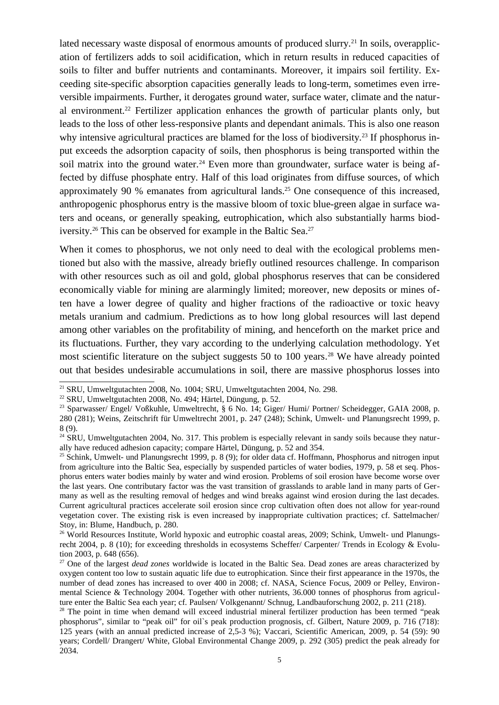lated necessary waste disposal of enormous amounts of produced slurry.<sup>21</sup> In soils, overapplication of fertilizers adds to soil acidification, which in return results in reduced capacities of soils to filter and buffer nutrients and contaminants. Moreover, it impairs soil fertility. Exceeding site-specific absorption capacities generally leads to long-term, sometimes even irreversible impairments. Further, it derogates ground water, surface water, climate and the natural environment.<sup>22</sup> Fertilizer application enhances the growth of particular plants only, but leads to the loss of other less-responsive plants and dependant animals. This is also one reason why intensive agricultural practices are blamed for the loss of biodiversity.<sup>23</sup> If phosphorus input exceeds the adsorption capacity of soils, then phosphorus is being transported within the soil matrix into the ground water.<sup>24</sup> Even more than groundwater, surface water is being affected by diffuse phosphate entry. Half of this load originates from diffuse sources, of which approximately 90 % emanates from agricultural lands. <sup>25</sup> One consequence of this increased, anthropogenic phosphorus entry is the massive bloom of toxic blue-green algae in surface waters and oceans, or generally speaking, eutrophication, which also substantially harms biodiversity.<sup>26</sup> This can be observed for example in the Baltic Sea.<sup>27</sup>

When it comes to phosphorus, we not only need to deal with the ecological problems mentioned but also with the massive, already briefly outlined resources challenge. In comparison with other resources such as oil and gold, global phosphorus reserves that can be considered economically viable for mining are alarmingly limited; moreover, new deposits or mines often have a lower degree of quality and higher fractions of the radioactive or toxic heavy metals uranium and cadmium. Predictions as to how long global resources will last depend among other variables on the profitability of mining, and henceforth on the market price and its fluctuations. Further, they vary according to the underlying calculation methodology. Yet most scientific literature on the subject suggests 50 to 100 years.<sup>28</sup> We have already pointed out that besides undesirable accumulations in soil, there are massive phosphorus losses into

 $21$  SRU, Umweltgutachten 2008, No. 1004; SRU, Umweltgutachten 2004, No. 298.

<sup>&</sup>lt;sup>22</sup> SRU, Umweltgutachten 2008, No. 494; Härtel, Düngung, p. 52.

<sup>23</sup> Sparwasser/ Engel/ Voßkuhle, Umweltrecht, § 6 No. 14; Giger/ Humi/ Portner/ Scheidegger, GAIA 2008, p. 280 (281); Weins, Zeitschrift für Umweltrecht 2001, p. 247 (248); Schink, Umwelt- und Planungsrecht 1999, p. 8 (9).

 $24$  SRU, Umweltgutachten 2004, No. 317. This problem is especially relevant in sandy soils because they naturally have reduced adhesion capacity; compare Härtel, Düngung, p. 52 and 354.

<sup>&</sup>lt;sup>25</sup> Schink, Umwelt- und Planungsrecht 1999, p. 8 (9); for older data cf. Hoffmann, Phosphorus and nitrogen input from agriculture into the Baltic Sea, especially by suspended particles of water bodies, 1979, p. 58 et seq. Phosphorus enters water bodies mainly by water and wind erosion. Problems of soil erosion have become worse over the last years. One contributary factor was the vast transition of grasslands to arable land in many parts of Germany as well as the resulting removal of hedges and wind breaks against wind erosion during the last decades. Current agricultural practices accelerate soil erosion since crop cultivation often does not allow for year-round vegetation cover. The existing risk is even increased by inappropriate cultivation practices; cf. Sattelmacher/ Stoy, in: Blume, Handbuch, p. 280.

 $26$  World Resources Institute, World hypoxic and eutrophic coastal areas, 2009; Schink, Umwelt- und Planungsrecht 2004, p. 8 (10); for exceeding thresholds in ecosystems Scheffer/ Carpenter/ Trends in Ecology & Evolution 2003, p. 648 (656).

<sup>&</sup>lt;sup>27</sup> One of the largest *dead zones* worldwide is located in the Baltic Sea. Dead zones are areas characterized by oxygen content too low to sustain aquatic life due to eutrophication. Since their first appearance in the 1970s, the number of dead zones has increased to over 400 in 2008; cf. NASA, Science Focus, 2009 or Pelley, Environmental Science & Technology 2004. Together with other nutrients, 36.000 tonnes of phosphorus from agriculture enter the Baltic Sea each year; cf. Paulsen/ Volkgenannt/ Schnug, Landbauforschung 2002, p. 211 (218).

<sup>&</sup>lt;sup>28</sup> The point in time when demand will exceed industrial mineral fertilizer production has been termed "peak phosphorus", similar to "peak oil" for oil`s peak production prognosis, cf. Gilbert, Nature 2009, p. 716 (718): 125 years (with an annual predicted increase of 2,5-3 %); Vaccari, Scientific American, 2009, p. 54 (59): 90 years; Cordell/ Drangert/ White, Global Environmental Change 2009, p. 292 (305) predict the peak already for 2034.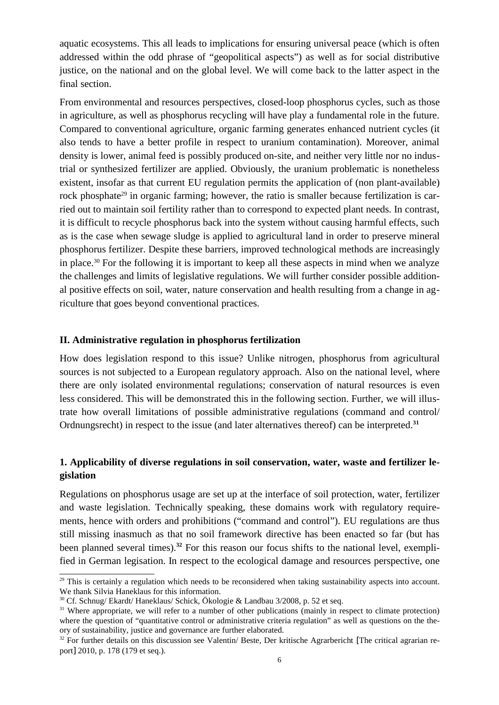aquatic ecosystems. This all leads to implications for ensuring universal peace (which is often addressed within the odd phrase of "geopolitical aspects") as well as for social distributive justice, on the national and on the global level. We will come back to the latter aspect in the final section.

From environmental and resources perspectives, closed-loop phosphorus cycles, such as those in agriculture, as well as phosphorus recycling will have play a fundamental role in the future. Compared to conventional agriculture, organic farming generates enhanced nutrient cycles (it also tends to have a better profile in respect to uranium contamination). Moreover, animal density is lower, animal feed is possibly produced on-site, and neither very little nor no industrial or synthesized fertilizer are applied. Obviously, the uranium problematic is nonetheless existent, insofar as that current EU regulation permits the application of (non plant-available) rock phosphate<sup>29</sup> in organic farming; however, the ratio is smaller because fertilization is carried out to maintain soil fertility rather than to correspond to expected plant needs. In contrast, it is difficult to recycle phosphorus back into the system without causing harmful effects, such as is the case when sewage sludge is applied to agricultural land in order to preserve mineral phosphorus fertilizer. Despite these barriers, improved technological methods are increasingly in place.<sup>30</sup> For the following it is important to keep all these aspects in mind when we analyze the challenges and limits of legislative regulations. We will further consider possible additional positive effects on soil, water, nature conservation and health resulting from a change in agriculture that goes beyond conventional practices.

#### **II. Administrative regulation in phosphorus fertilization**

How does legislation respond to this issue? Unlike nitrogen, phosphorus from agricultural sources is not subjected to a European regulatory approach. Also on the national level, where there are only isolated environmental regulations; conservation of natural resources is even less considered. This will be demonstrated this in the following section. Further, we will illustrate how overall limitations of possible administrative regulations (command and control/ Ordnungsrecht) in respect to the issue (and later alternatives thereof) can be interpreted.**<sup>31</sup>**

## **1. Applicability of diverse regulations in soil conservation, water, waste and fertilizer legislation**

Regulations on phosphorus usage are set up at the interface of soil protection, water, fertilizer and waste legislation. Technically speaking, these domains work with regulatory requirements, hence with orders and prohibitions ("command and control"). EU regulations are thus still missing inasmuch as that no soil framework directive has been enacted so far (but has been planned several times).**32** For this reason our focus shifts to the national level, exemplified in German legisation. In respect to the ecological damage and resources perspective, one

<sup>&</sup>lt;sup>29</sup> This is certainly a regulation which needs to be reconsidered when taking sustainability aspects into account. We thank Silvia Haneklaus for this information.

<sup>30</sup> Cf. Schnug/ Ekardt/ Haneklaus/ Schick, Ökologie & Landbau 3/2008, p. 52 et seq.

<sup>&</sup>lt;sup>31</sup> Where appropriate, we will refer to a number of other publications (mainly in respect to climate protection) where the question of "quantitative control or administrative criteria regulation" as well as questions on the theory of sustainability, justice and governance are further elaborated.

 $32$  For further details on this discussion see Valentin/ Beste, Der kritische Agrarbericht [The critical agrarian report] 2010, p. 178 (179 et seq.).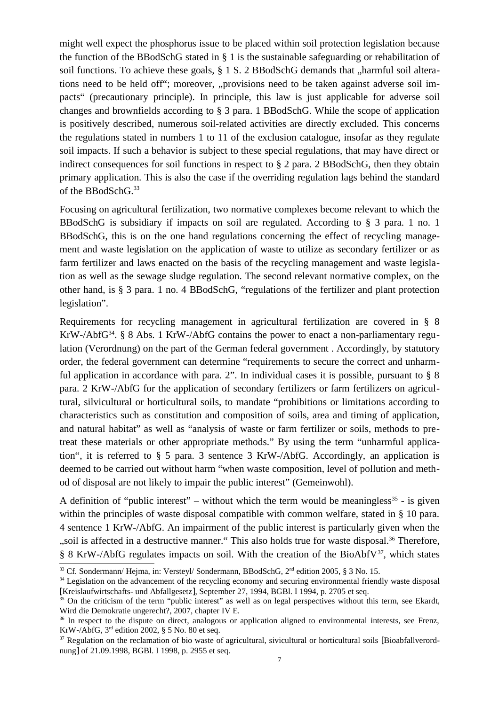might well expect the phosphorus issue to be placed within soil protection legislation because the function of the BBodSchG stated in § 1 is the sustainable safeguarding or rehabilitation of soil functions. To achieve these goals,  $\S 1 S$ , 2 BBodSchG demands that "harmful soil alterations need to be held off"; moreover, "provisions need to be taken against adverse soil impacts" (precautionary principle). In principle, this law is just applicable for adverse soil changes and brownfields according to § 3 para. 1 BBodSchG. While the scope of application is positively described, numerous soil-related activities are directly excluded. This concerns the regulations stated in numbers 1 to 11 of the exclusion catalogue, insofar as they regulate soil impacts. If such a behavior is subject to these special regulations, that may have direct or indirect consequences for soil functions in respect to § 2 para. 2 BBodSchG, then they obtain primary application. This is also the case if the overriding regulation lags behind the standard of the BBodSchG.<sup>33</sup>

Focusing on agricultural fertilization, two normative complexes become relevant to which the BBodSchG is subsidiary if impacts on soil are regulated. According to § 3 para. 1 no. 1 BBodSchG, this is on the one hand regulations concerning the effect of recycling management and waste legislation on the application of waste to utilize as secondary fertilizer or as farm fertilizer and laws enacted on the basis of the recycling management and waste legislation as well as the sewage sludge regulation. The second relevant normative complex, on the other hand, is § 3 para. 1 no. 4 BBodSchG, "regulations of the fertilizer and plant protection legislation".

Requirements for recycling management in agricultural fertilization are covered in § 8 KrW-/AbfG<sup>34</sup>. § 8 Abs. 1 KrW-/AbfG contains the power to enact a non-parliamentary regulation (Verordnung) on the part of the German federal government . Accordingly, by statutory order, the federal government can determine "requirements to secure the correct and unharmful application in accordance with para. 2". In individual cases it is possible, pursuant to § 8 para. 2 KrW-/AbfG for the application of secondary fertilizers or farm fertilizers on agricultural, silvicultural or horticultural soils, to mandate "prohibitions or limitations according to characteristics such as constitution and composition of soils, area and timing of application, and natural habitat" as well as "analysis of waste or farm fertilizer or soils, methods to pretreat these materials or other appropriate methods." By using the term "unharmful application", it is referred to § 5 para. 3 sentence 3 KrW-/AbfG. Accordingly, an application is deemed to be carried out without harm "when waste composition, level of pollution and method of disposal are not likely to impair the public interest" (Gemeinwohl).

A definition of "public interest" – without which the term would be meaningless<sup>35</sup> - is given within the principles of waste disposal compatible with common welfare, stated in § 10 para. 4 sentence 1 KrW-/AbfG. An impairment of the public interest is particularly given when the "soil is affected in a destructive manner." This also holds true for waste disposal.<sup>36</sup> Therefore, § 8 KrW-/AbfG regulates impacts on soil. With the creation of the BioAbfV<sup>37</sup>, which states

<sup>&</sup>lt;sup>33</sup> Cf. Sondermann/ Hejma, in: Versteyl/ Sondermann, BBodSchG,  $2<sup>nd</sup>$  edition 2005, § 3 No. 15.

<sup>&</sup>lt;sup>34</sup> Legislation on the advancement of the recycling economy and securing environmental friendly waste disposal [Kreislaufwirtschafts- und Abfallgesetz], September 27, 1994, BGBl. I 1994, p. 2705 et seq.

<sup>&</sup>lt;sup>35</sup> On the criticism of the term "public interest" as well as on legal perspectives without this term, see Ekardt, Wird die Demokratie ungerecht?, 2007, chapter IV E.

<sup>&</sup>lt;sup>36</sup> In respect to the dispute on direct, analogous or application aligned to environmental interests, see Frenz, KrW-/AbfG,  $3<sup>rd</sup>$  edition 2002, § 5 No. 80 et seq.

 $37$  Regulation on the reclamation of bio waste of agricultural, sivicultural or horticultural soils [Bioabfallverordnung] of 21.09.1998, BGBl. I 1998, p. 2955 et seq.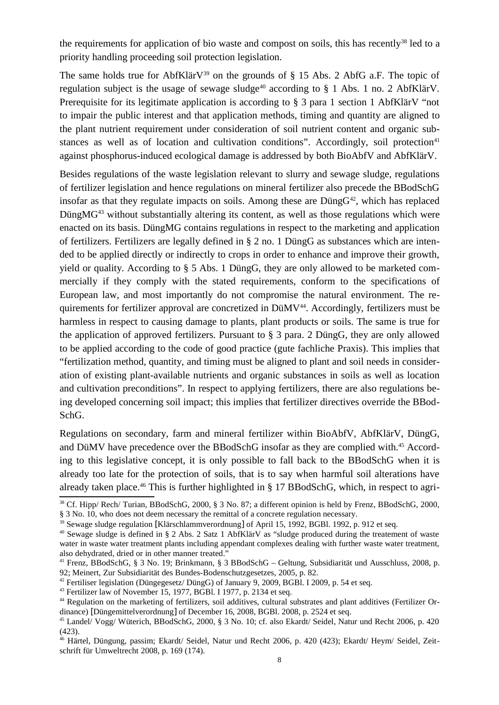the requirements for application of bio waste and compost on soils, this has recently<sup>38</sup> led to a priority handling proceeding soil protection legislation.

The same holds true for AbfKlärV<sup>39</sup> on the grounds of  $\S$  15 Abs. 2 AbfG a.F. The topic of regulation subject is the usage of sewage sludge<sup>40</sup> according to  $\S$  1 Abs. 1 no. 2 AbfKlärV. Prerequisite for its legitimate application is according to § 3 para 1 section 1 AbfKlärV "not to impair the public interest and that application methods, timing and quantity are aligned to the plant nutrient requirement under consideration of soil nutrient content and organic substances as well as of location and cultivation conditions". Accordingly, soil protection<sup>41</sup> against phosphorus-induced ecological damage is addressed by both BioAbfV and AbfKlärV.

Besides regulations of the waste legislation relevant to slurry and sewage sludge, regulations of fertilizer legislation and hence regulations on mineral fertilizer also precede the BBodSchG insofar as that they regulate impacts on soils. Among these are  $\text{DüngG}^{42}$ , which has replaced DüngMG<sup>43</sup> without substantially altering its content, as well as those regulations which were enacted on its basis. DüngMG contains regulations in respect to the marketing and application of fertilizers. Fertilizers are legally defined in § 2 no. 1 DüngG as substances which are intended to be applied directly or indirectly to crops in order to enhance and improve their growth, yield or quality. According to § 5 Abs. 1 DüngG, they are only allowed to be marketed commercially if they comply with the stated requirements, conform to the specifications of European law, and most importantly do not compromise the natural environment. The requirements for fertilizer approval are concretized in  $DiM<sup>V44</sup>$ . Accordingly, fertilizers must be harmless in respect to causing damage to plants, plant products or soils. The same is true for the application of approved fertilizers. Pursuant to § 3 para. 2 DüngG, they are only allowed to be applied according to the code of good practice (gute fachliche Praxis). This implies that "fertilization method, quantity, and timing must be aligned to plant and soil needs in consideration of existing plant-available nutrients and organic substances in soils as well as location and cultivation preconditions". In respect to applying fertilizers, there are also regulations being developed concerning soil impact; this implies that fertilizer directives override the BBod-SchG.

Regulations on secondary, farm and mineral fertilizer within BioAbfV, AbfKlärV, DüngG, and DüMV have precedence over the BBodSchG insofar as they are complied with.45 According to this legislative concept, it is only possible to fall back to the BBodSchG when it is already too late for the protection of soils, that is to say when harmful soil alterations have already taken place.<sup>46</sup> This is further highlighted in § 17 BBodSchG, which, in respect to agri-

<sup>38</sup> Cf. Hipp/ Rech/ Turian, BBodSchG, 2000, § 3 No. 87; a different opinion is held by Frenz, BBodSchG, 2000, § 3 No. 10, who does not deem necessary the remittal of a concrete regulation necessary.

<sup>&</sup>lt;sup>39</sup> Sewage sludge regulation [Klärschlammverordnung] of April 15, 1992, BGBl. 1992, p. 912 et seq.

<sup>40</sup> Sewage sludge is defined in § 2 Abs. 2 Satz 1 AbfKlärV as "sludge produced during the treatement of waste water in waste water treatment plants including appendant complexes dealing with further waste water treatment, also dehydrated, dried or in other manner treated."

<sup>41</sup> Frenz, BBodSchG, § 3 No. 19; Brinkmann, § 3 BBodSchG – Geltung, Subsidiarität und Ausschluss, 2008, p. 92; Meinert, Zur Subsidiarität des Bundes-Bodenschutzgesetzes, 2005, p. 82.

<sup>42</sup> Fertiliser legislation (Düngegesetz/ DüngG) of January 9, 2009, BGBl. I 2009, p. 54 et seq.

 $43$  Fertilizer law of November 15, 1977, BGBl. I 1977, p. 2134 et seq.

<sup>44</sup> Regulation on the marketing of fertilizers, soil additives, cultural substrates and plant additives (Fertilizer Ordinance) [Düngemittelverordnung] of December 16, 2008, BGBl. 2008, p. 2524 et seq.

<sup>45</sup> Landel/ Vogg/ Wüterich, BBodSchG, 2000, § 3 No. 10; cf. also Ekardt/ Seidel, Natur und Recht 2006, p. 420 (423).

<sup>&</sup>lt;sup>46</sup> Härtel, Düngung, passim; Ekardt/ Seidel, Natur und Recht 2006, p. 420 (423); Ekardt/ Heym/ Seidel, Zeitschrift für Umweltrecht 2008, p. 169 (174).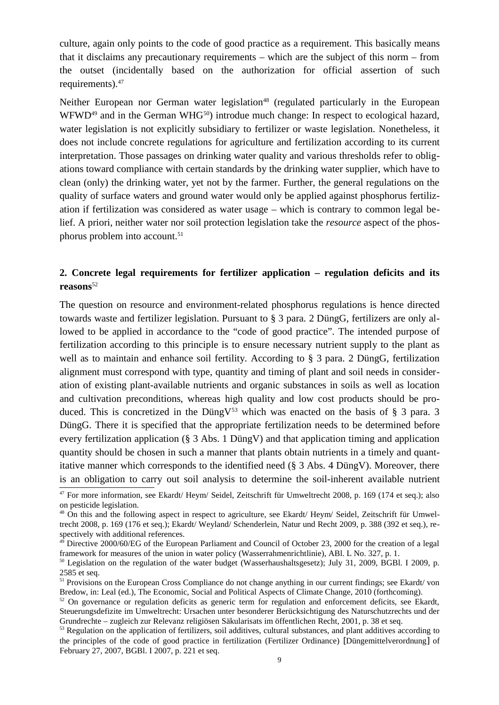culture, again only points to the code of good practice as a requirement. This basically means that it disclaims any precautionary requirements – which are the subject of this norm – from the outset (incidentally based on the authorization for official assertion of such requirements).<sup>47</sup>

Neither European nor German water legislation<sup>48</sup> (regulated particularly in the European  $WFWD<sup>49</sup>$  and in the German  $WHG<sup>50</sup>$  introdue much change: In respect to ecological hazard, water legislation is not explicitly subsidiary to fertilizer or waste legislation. Nonetheless, it does not include concrete regulations for agriculture and fertilization according to its current interpretation. Those passages on drinking water quality and various thresholds refer to obligations toward compliance with certain standards by the drinking water supplier, which have to clean (only) the drinking water, yet not by the farmer. Further, the general regulations on the quality of surface waters and ground water would only be applied against phosphorus fertilization if fertilization was considered as water usage – which is contrary to common legal belief. A priori, neither water nor soil protection legislation take the *resource* aspect of the phosphorus problem into account.<sup>51</sup>

# **2. Concrete legal requirements for fertilizer application – regulation deficits and its reasons**<sup>52</sup>

The question on resource and environment-related phosphorus regulations is hence directed towards waste and fertilizer legislation. Pursuant to § 3 para. 2 DüngG, fertilizers are only allowed to be applied in accordance to the "code of good practice". The intended purpose of fertilization according to this principle is to ensure necessary nutrient supply to the plant as well as to maintain and enhance soil fertility. According to § 3 para. 2 DüngG, fertilization alignment must correspond with type, quantity and timing of plant and soil needs in consideration of existing plant-available nutrients and organic substances in soils as well as location and cultivation preconditions, whereas high quality and low cost products should be produced. This is concretized in the DüngV<sup>53</sup> which was enacted on the basis of § 3 para. 3 DüngG. There it is specified that the appropriate fertilization needs to be determined before every fertilization application (§ 3 Abs. 1 DüngV) and that application timing and application quantity should be chosen in such a manner that plants obtain nutrients in a timely and quantitative manner which corresponds to the identified need (§ 3 Abs. 4 DüngV). Moreover, there is an obligation to carry out soil analysis to determine the soil-inherent available nutrient

<sup>47</sup> For more information, see Ekardt/ Heym/ Seidel, Zeitschrift für Umweltrecht 2008, p. 169 (174 et seq.); also on pesticide legislation.

<sup>48</sup> On this and the following aspect in respect to agriculture, see Ekardt/ Heym/ Seidel, Zeitschrift für Umweltrecht 2008, p. 169 (176 et seq.); Ekardt/ Weyland/ Schenderlein, Natur und Recht 2009, p. 388 (392 et seq.), respectively with additional references.

 $49$  Directive 2000/60/EG of the European Parliament and Council of October 23, 2000 for the creation of a legal framework for measures of the union in water policy (Wasserrahmenrichtlinie), ABl. L No. 327, p. 1.

<sup>&</sup>lt;sup>50</sup> Legislation on the regulation of the water budget (Wasserhaushaltsgesetz); July 31, 2009, BGBl. I 2009, p. 2585 et seq.

<sup>&</sup>lt;sup>51</sup> Provisions on the European Cross Compliance do not change anything in our current findings; see Ekardt/ von Bredow, in: Leal (ed.), The Economic, Social and Political Aspects of Climate Change, 2010 (forthcoming).

 $52$  On governance or regulation deficits as generic term for regulation and enforcement deficits, see Ekardt, Steuerungsdefizite im Umweltrecht: Ursachen unter besonderer Berücksichtigung des Naturschutzrechts und der Grundrechte – zugleich zur Relevanz religiösen Säkularisats im öffentlichen Recht, 2001, p. 38 et seq.

<sup>&</sup>lt;sup>53</sup> Regulation on the application of fertilizers, soil additives, cultural substances, and plant additives according to the principles of the code of good practice in fertilization (Fertilizer Ordinance) [Düngemittelverordnung] of February 27, 2007, BGBl. I 2007, p. 221 et seq.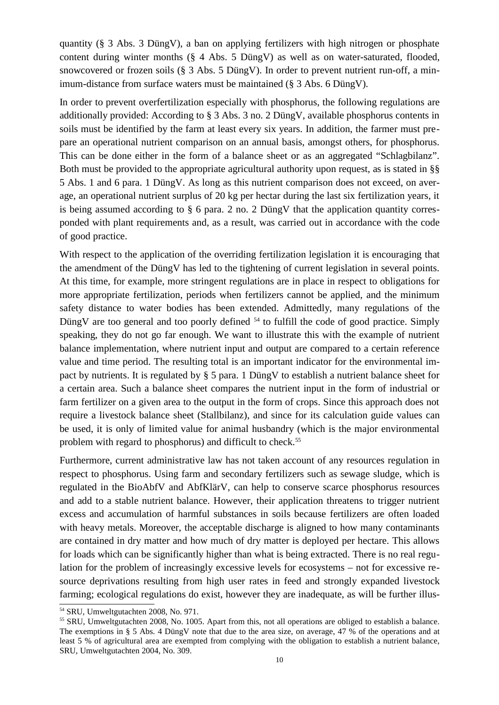quantity (§ 3 Abs. 3 DüngV), a ban on applying fertilizers with high nitrogen or phosphate content during winter months (§ 4 Abs. 5 DüngV) as well as on water-saturated, flooded, snowcovered or frozen soils (§ 3 Abs. 5 DüngV). In order to prevent nutrient run-off, a minimum-distance from surface waters must be maintained (§ 3 Abs. 6 DüngV).

In order to prevent overfertilization especially with phosphorus, the following regulations are additionally provided: According to § 3 Abs. 3 no. 2 DüngV, available phosphorus contents in soils must be identified by the farm at least every six years. In addition, the farmer must prepare an operational nutrient comparison on an annual basis, amongst others, for phosphorus. This can be done either in the form of a balance sheet or as an aggregated "Schlagbilanz". Both must be provided to the appropriate agricultural authority upon request, as is stated in §§ 5 Abs. 1 and 6 para. 1 DüngV. As long as this nutrient comparison does not exceed, on average, an operational nutrient surplus of 20 kg per hectar during the last six fertilization years, it is being assumed according to § 6 para. 2 no. 2 DüngV that the application quantity corresponded with plant requirements and, as a result, was carried out in accordance with the code of good practice.

With respect to the application of the overriding fertilization legislation it is encouraging that the amendment of the DüngV has led to the tightening of current legislation in several points. At this time, for example, more stringent regulations are in place in respect to obligations for more appropriate fertilization, periods when fertilizers cannot be applied, and the minimum safety distance to water bodies has been extended. Admittedly, many regulations of the DüngV are too general and too poorly defined  $54$  to fulfill the code of good practice. Simply speaking, they do not go far enough. We want to illustrate this with the example of nutrient balance implementation, where nutrient input and output are compared to a certain reference value and time period. The resulting total is an important indicator for the environmental impact by nutrients. It is regulated by § 5 para. 1 DüngV to establish a nutrient balance sheet for a certain area. Such a balance sheet compares the nutrient input in the form of industrial or farm fertilizer on a given area to the output in the form of crops. Since this approach does not require a livestock balance sheet (Stallbilanz), and since for its calculation guide values can be used, it is only of limited value for animal husbandry (which is the major environmental problem with regard to phosphorus) and difficult to check.<sup>55</sup>

Furthermore, current administrative law has not taken account of any resources regulation in respect to phosphorus. Using farm and secondary fertilizers such as sewage sludge, which is regulated in the BioAbfV and AbfKlärV, can help to conserve scarce phosphorus resources and add to a stable nutrient balance. However, their application threatens to trigger nutrient excess and accumulation of harmful substances in soils because fertilizers are often loaded with heavy metals. Moreover, the acceptable discharge is aligned to how many contaminants are contained in dry matter and how much of dry matter is deployed per hectare. This allows for loads which can be significantly higher than what is being extracted. There is no real regulation for the problem of increasingly excessive levels for ecosystems – not for excessive resource deprivations resulting from high user rates in feed and strongly expanded livestock farming; ecological regulations do exist, however they are inadequate, as will be further illus-

<sup>54</sup> SRU, Umweltgutachten 2008, No. 971.

<sup>55</sup> SRU, Umweltgutachten 2008, No. 1005. Apart from this, not all operations are obliged to establish a balance. The exemptions in § 5 Abs. 4 DüngV note that due to the area size, on average, 47 % of the operations and at least 5 % of agricultural area are exempted from complying with the obligation to establish a nutrient balance, SRU, Umweltgutachten 2004, No. 309.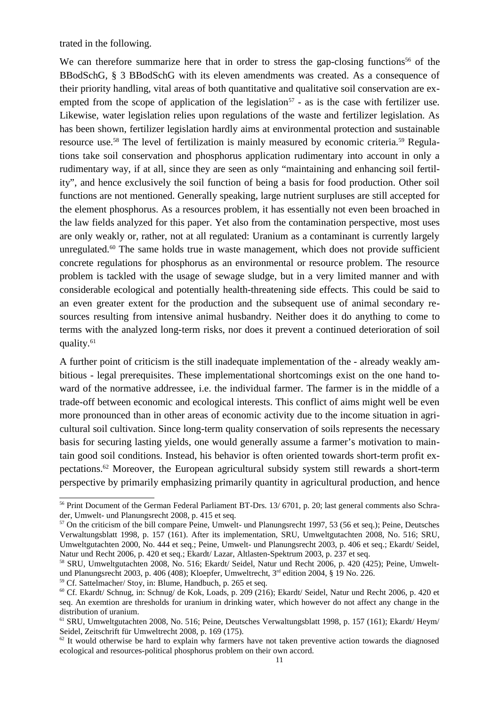trated in the following.

We can therefore summarize here that in order to stress the gap-closing functions<sup>56</sup> of the BBodSchG, § 3 BBodSchG with its eleven amendments was created. As a consequence of their priority handling, vital areas of both quantitative and qualitative soil conservation are exempted from the scope of application of the legislation<sup>57</sup> - as is the case with fertilizer use. Likewise, water legislation relies upon regulations of the waste and fertilizer legislation. As has been shown, fertilizer legislation hardly aims at environmental protection and sustainable resource use.58 The level of fertilization is mainly measured by economic criteria.59 Regulations take soil conservation and phosphorus application rudimentary into account in only a rudimentary way, if at all, since they are seen as only "maintaining and enhancing soil fertility", and hence exclusively the soil function of being a basis for food production. Other soil functions are not mentioned. Generally speaking, large nutrient surpluses are still accepted for the element phosphorus. As a resources problem, it has essentially not even been broached in the law fields analyzed for this paper. Yet also from the contamination perspective, most uses are only weakly or, rather, not at all regulated: Uranium as a contaminant is currently largely unregulated. $60$  The same holds true in waste management, which does not provide sufficient concrete regulations for phosphorus as an environmental or resource problem. The resource problem is tackled with the usage of sewage sludge, but in a very limited manner and with considerable ecological and potentially health-threatening side effects. This could be said to an even greater extent for the production and the subsequent use of animal secondary resources resulting from intensive animal husbandry. Neither does it do anything to come to terms with the analyzed long-term risks, nor does it prevent a continued deterioration of soil quality.<sup>61</sup>

A further point of criticism is the still inadequate implementation of the - already weakly ambitious - legal prerequisites. These implementational shortcomings exist on the one hand toward of the normative addressee, i.e. the individual farmer. The farmer is in the middle of a trade-off between economic and ecological interests. This conflict of aims might well be even more pronounced than in other areas of economic activity due to the income situation in agricultural soil cultivation. Since long-term quality conservation of soils represents the necessary basis for securing lasting yields, one would generally assume a farmer's motivation to maintain good soil conditions. Instead, his behavior is often oriented towards short-term profit expectations.<sup>62</sup> Moreover, the European agricultural subsidy system still rewards a short-term perspective by primarily emphasizing primarily quantity in agricultural production, and hence

<sup>59</sup> Cf. Sattelmacher/ Stoy, in: Blume, Handbuch, p. 265 et seq.

<sup>56</sup> Print Document of the German Federal Parliament BT-Drs. 13/ 6701, p. 20; last general comments also Schrader, Umwelt- und Planungsrecht 2008, p. 415 et seq.

<sup>&</sup>lt;sup>57</sup> On the criticism of the bill compare Peine, Umwelt- und Planungsrecht 1997, 53 (56 et seq.); Peine, Deutsches Verwaltungsblatt 1998, p. 157 (161). After its implementation, SRU, Umweltgutachten 2008, No. 516; SRU, Umweltgutachten 2000, No. 444 et seq.; Peine, Umwelt- und Planungsrecht 2003, p. 406 et seq.; Ekardt/ Seidel, Natur und Recht 2006, p. 420 et seq.; Ekardt/ Lazar, Altlasten-Spektrum 2003, p. 237 et seq.

<sup>58</sup> SRU, Umweltgutachten 2008, No. 516; Ekardt/ Seidel, Natur und Recht 2006, p. 420 (425); Peine, Umweltund Planungsrecht 2003, p. 406 (408); Kloepfer, Umweltrecht, 3<sup>rd</sup> edition 2004, § 19 No. 226.

<sup>60</sup> Cf. Ekardt/ Schnug, in: Schnug/ de Kok, Loads, p. 209 (216); Ekardt/ Seidel, Natur und Recht 2006, p. 420 et seq. An exemtion are thresholds for uranium in drinking water, which however do not affect any change in the distribution of uranium.

<sup>61</sup> SRU, Umweltgutachten 2008, No. 516; Peine, Deutsches Verwaltungsblatt 1998, p. 157 (161); Ekardt/ Heym/ Seidel, Zeitschrift für Umweltrecht 2008, p. 169 (175).

 $62$  It would otherwise be hard to explain why farmers have not taken preventive action towards the diagnosed ecological and resources-political phosphorus problem on their own accord.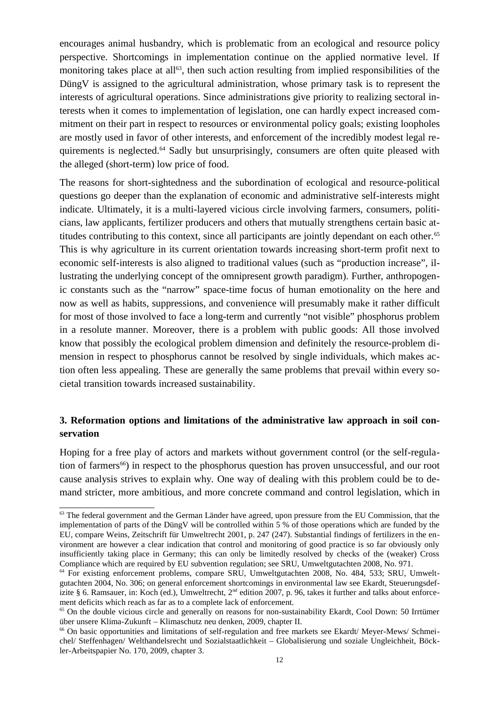encourages animal husbandry, which is problematic from an ecological and resource policy perspective. Shortcomings in implementation continue on the applied normative level. If monitoring takes place at all<sup>63</sup>, then such action resulting from implied responsibilities of the DüngV is assigned to the agricultural administration, whose primary task is to represent the interests of agricultural operations. Since administrations give priority to realizing sectoral interests when it comes to implementation of legislation, one can hardly expect increased commitment on their part in respect to resources or environmental policy goals; existing loopholes are mostly used in favor of other interests, and enforcement of the incredibly modest legal requirements is neglected.<sup>64</sup> Sadly but unsurprisingly, consumers are often quite pleased with the alleged (short-term) low price of food.

The reasons for short-sightedness and the subordination of ecological and resource-political questions go deeper than the explanation of economic and administrative self-interests might indicate. Ultimately, it is a multi-layered vicious circle involving farmers, consumers, politicians, law applicants, fertilizer producers and others that mutually strengthens certain basic attitudes contributing to this context, since all participants are jointly dependant on each other.<sup>65</sup> This is why agriculture in its current orientation towards increasing short-term profit next to economic self-interests is also aligned to traditional values (such as "production increase", illustrating the underlying concept of the omnipresent growth paradigm). Further, anthropogenic constants such as the "narrow" space-time focus of human emotionality on the here and now as well as habits, suppressions, and convenience will presumably make it rather difficult for most of those involved to face a long-term and currently "not visible" phosphorus problem in a resolute manner. Moreover, there is a problem with public goods: All those involved know that possibly the ecological problem dimension and definitely the resource-problem dimension in respect to phosphorus cannot be resolved by single individuals, which makes action often less appealing. These are generally the same problems that prevail within every societal transition towards increased sustainability.

# **3. Reformation options and limitations of the administrative law approach in soil conservation**

Hoping for a free play of actors and markets without government control (or the self-regulation of farmers<sup>66</sup>) in respect to the phosphorus question has proven unsuccessful, and our root cause analysis strives to explain why. One way of dealing with this problem could be to demand stricter, more ambitious, and more concrete command and control legislation, which in

<sup>&</sup>lt;sup>63</sup> The federal government and the German Länder have agreed, upon pressure from the EU Commission, that the implementation of parts of the DüngV will be controlled within 5 % of those operations which are funded by the EU, compare Weins, Zeitschrift für Umweltrecht 2001, p. 247 (247). Substantial findings of fertilizers in the environment are however a clear indication that control and monitoring of good practice is so far obviously only insufficiently taking place in Germany; this can only be limitedly resolved by checks of the (weaker) Cross Compliance which are required by EU subvention regulation; see SRU, Umweltgutachten 2008, No. 971.

<sup>&</sup>lt;sup>64</sup> For existing enforcement problems, compare SRU, Umweltgutachten 2008, No. 484, 533; SRU, Umweltgutachten 2004, No. 306; on general enforcement shortcomings in environmental law see Ekardt, Steuerungsdefizite § 6. Ramsauer, in: Koch (ed.), Umweltrecht,  $2^{nd}$  edition 2007, p. 96, takes it further and talks about enforcement deficits which reach as far as to a complete lack of enforcement.

<sup>&</sup>lt;sup>65</sup> On the double vicious circle and generally on reasons for non-sustainability Ekardt, Cool Down: 50 Irrtümer über unsere Klima-Zukunft – Klimaschutz neu denken, 2009, chapter II.

<sup>66</sup> On basic opportunities and limitations of self-regulation and free markets see Ekardt/ Meyer-Mews/ Schmeichel/ Steffenhagen/ Welthandelsrecht und Sozialstaatlichkeit – Globalisierung und soziale Ungleichheit, Böckler-Arbeitspapier No. 170, 2009, chapter 3.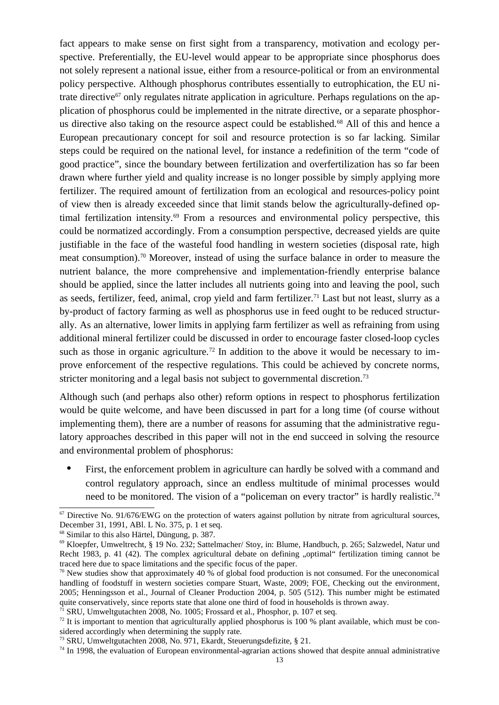fact appears to make sense on first sight from a transparency, motivation and ecology perspective. Preferentially, the EU-level would appear to be appropriate since phosphorus does not solely represent a national issue, either from a resource-political or from an environmental policy perspective. Although phosphorus contributes essentially to eutrophication, the EU nitrate directive<sup>67</sup> only regulates nitrate application in agriculture. Perhaps regulations on the application of phosphorus could be implemented in the nitrate directive, or a separate phosphorus directive also taking on the resource aspect could be established.<sup>68</sup> All of this and hence a European precautionary concept for soil and resource protection is so far lacking. Similar steps could be required on the national level, for instance a redefinition of the term "code of good practice", since the boundary between fertilization and overfertilization has so far been drawn where further yield and quality increase is no longer possible by simply applying more fertilizer. The required amount of fertilization from an ecological and resources-policy point of view then is already exceeded since that limit stands below the agriculturally-defined optimal fertilization intensity.<sup>69</sup> From a resources and environmental policy perspective, this could be normatized accordingly. From a consumption perspective, decreased yields are quite justifiable in the face of the wasteful food handling in western societies (disposal rate, high meat consumption).<sup>70</sup> Moreover, instead of using the surface balance in order to measure the nutrient balance, the more comprehensive and implementation-friendly enterprise balance should be applied, since the latter includes all nutrients going into and leaving the pool, such as seeds, fertilizer, feed, animal, crop yield and farm fertilizer.<sup>71</sup> Last but not least, slurry as a by-product of factory farming as well as phosphorus use in feed ought to be reduced structurally. As an alternative, lower limits in applying farm fertilizer as well as refraining from using additional mineral fertilizer could be discussed in order to encourage faster closed-loop cycles such as those in organic agriculture.<sup>72</sup> In addition to the above it would be necessary to improve enforcement of the respective regulations. This could be achieved by concrete norms, stricter monitoring and a legal basis not subject to governmental discretion.<sup>73</sup>

Although such (and perhaps also other) reform options in respect to phosphorus fertilization would be quite welcome, and have been discussed in part for a long time (of course without implementing them), there are a number of reasons for assuming that the administrative regulatory approaches described in this paper will not in the end succeed in solving the resource and environmental problem of phosphorus:

First, the enforcement problem in agriculture can hardly be solved with a command and control regulatory approach, since an endless multitude of minimal processes would need to be monitored. The vision of a "policeman on every tractor" is hardly realistic.<sup>74</sup>

 $67$  Directive No. 91/676/EWG on the protection of waters against pollution by nitrate from agricultural sources, December 31, 1991, ABl. L No. 375, p. 1 et seq.

<sup>68</sup> Similar to this also Härtel, Düngung, p. 387.

<sup>69</sup> Kloepfer, Umweltrecht, § 19 No. 232; Sattelmacher/ Stoy, in: Blume, Handbuch, p. 265; Salzwedel, Natur und Recht 1983, p. 41 (42). The complex agricultural debate on defining "optimal" fertilization timing cannot be traced here due to space limitations and the specific focus of the paper.

 $70$  New studies show that approximately 40 % of global food production is not consumed. For the uneconomical handling of foodstuff in western societies compare Stuart, Waste, 2009; FOE, Checking out the environment, 2005; Henningsson et al., Journal of Cleaner Production 2004, p. 505 (512). This number might be estimated quite conservatively, since reports state that alone one third of food in households is thrown away.  $71$  SRU, Umweltgutachten 2008, No. 1005; Frossard et al., Phosphor, p. 107 et seq.

 $72$  It is important to mention that agriculturally applied phosphorus is 100 % plant available, which must be considered accordingly when determining the supply rate.

<sup>73</sup> SRU, Umweltgutachten 2008, No. 971, Ekardt, Steuerungsdefizite, § 21.

 $74$  In 1998, the evaluation of European environmental-agrarian actions showed that despite annual administrative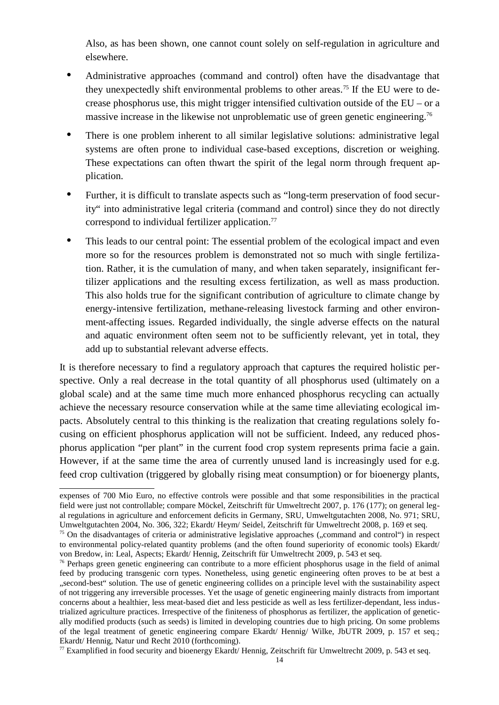Also, as has been shown, one cannot count solely on self-regulation in agriculture and elsewhere.

- Administrative approaches (command and control) often have the disadvantage that they unexpectedly shift environmental problems to other areas.75 If the EU were to decrease phosphorus use, this might trigger intensified cultivation outside of the  $EU$  – or a massive increase in the likewise not unproblematic use of green genetic engineering.<sup>76</sup>
- There is one problem inherent to all similar legislative solutions: administrative legal systems are often prone to individual case-based exceptions, discretion or weighing. These expectations can often thwart the spirit of the legal norm through frequent application.
- Further, it is difficult to translate aspects such as "long-term preservation of food security" into administrative legal criteria (command and control) since they do not directly correspond to individual fertilizer application.<sup>77</sup>
- This leads to our central point: The essential problem of the ecological impact and even more so for the resources problem is demonstrated not so much with single fertilization. Rather, it is the cumulation of many, and when taken separately, insignificant fertilizer applications and the resulting excess fertilization, as well as mass production. This also holds true for the significant contribution of agriculture to climate change by energy-intensive fertilization, methane-releasing livestock farming and other environment-affecting issues. Regarded individually, the single adverse effects on the natural and aquatic environment often seem not to be sufficiently relevant, yet in total, they add up to substantial relevant adverse effects.

It is therefore necessary to find a regulatory approach that captures the required holistic perspective. Only a real decrease in the total quantity of all phosphorus used (ultimately on a global scale) and at the same time much more enhanced phosphorus recycling can actually achieve the necessary resource conservation while at the same time alleviating ecological impacts. Absolutely central to this thinking is the realization that creating regulations solely focusing on efficient phosphorus application will not be sufficient. Indeed, any reduced phosphorus application "per plant" in the current food crop system represents prima facie a gain. However, if at the same time the area of currently unused land is increasingly used for e.g. feed crop cultivation (triggered by globally rising meat consumption) or for bioenergy plants,

expenses of 700 Mio Euro, no effective controls were possible and that some responsibilities in the practical field were just not controllable; compare Möckel, Zeitschrift für Umweltrecht 2007, p. 176 (177); on general legal regulations in agriculture and enforcement deficits in Germany, SRU, Umweltgutachten 2008, No. 971; SRU, Umweltgutachten 2004, No. 306, 322; Ekardt/ Heym/ Seidel, Zeitschrift für Umweltrecht 2008, p. 169 et seq.

 $75$  On the disadvantages of criteria or administrative legislative approaches ("command and control") in respect to environmental policy-related quantity problems (and the often found superiority of economic tools) Ekardt/ von Bredow, in: Leal, Aspects; Ekardt/ Hennig, Zeitschrift für Umweltrecht 2009, p. 543 et seq.

<sup>&</sup>lt;sup>76</sup> Perhaps green genetic engineering can contribute to a more efficient phosphorus usage in the field of animal feed by producing transgenic corn types. Nonetheless, using genetic engineering often proves to be at best a "second-best" solution. The use of genetic engineering collides on a principle level with the sustainability aspect of not triggering any irreversible processes. Yet the usage of genetic engineering mainly distracts from important concerns about a healthier, less meat-based diet and less pesticide as well as less fertilizer-dependant, less industrialized agriculture practices. Irrespective of the finiteness of phosphorus as fertilizer, the application of genetically modified products (such as seeds) is limited in developing countries due to high pricing. On some problems of the legal treatment of genetic engineering compare Ekardt/ Hennig/ Wilke, JbUTR 2009, p. 157 et seq.; Ekardt/ Hennig, Natur und Recht 2010 (forthcoming).

<sup>77</sup> Examplified in food security and bioenergy Ekardt/ Hennig, Zeitschrift für Umweltrecht 2009, p. 543 et seq.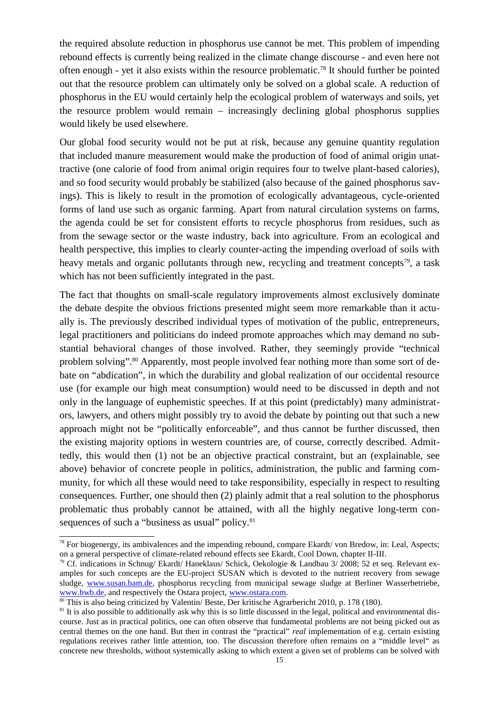the required absolute reduction in phosphorus use cannot be met. This problem of impending rebound effects is currently being realized in the climate change discourse - and even here not often enough - yet it also exists within the resource problematic.<sup>78</sup> It should further be pointed out that the resource problem can ultimately only be solved on a global scale. A reduction of phosphorus in the EU would certainly help the ecological problem of waterways and soils, yet the resource problem would remain – increasingly declining global phosphorus supplies would likely be used elsewhere.

Our global food security would not be put at risk, because any genuine quantity regulation that included manure measurement would make the production of food of animal origin unattractive (one calorie of food from animal origin requires four to twelve plant-based calories), and so food security would probably be stabilized (also because of the gained phosphorus savings). This is likely to result in the promotion of ecologically advantageous, cycle-oriented forms of land use such as organic farming. Apart from natural circulation systems on farms, the agenda could be set for consistent efforts to recycle phosphorus from residues, such as from the sewage sector or the waste industry, back into agriculture. From an ecological and health perspective, this implies to clearly counter-acting the impending overload of soils with heavy metals and organic pollutants through new, recycling and treatment concepts<sup>79</sup>, a task which has not been sufficiently integrated in the past.

The fact that thoughts on small-scale regulatory improvements almost exclusively dominate the debate despite the obvious frictions presented might seem more remarkable than it actually is. The previously described individual types of motivation of the public, entrepreneurs, legal practitioners and politicians do indeed promote approaches which may demand no substantial behavioral changes of those involved. Rather, they seemingly provide "technical problem solving".80 Apparently, most people involved fear nothing more than some sort of debate on "abdication", in which the durability and global realization of our occidental resource use (for example our high meat consumption) would need to be discussed in depth and not only in the language of euphemistic speeches. If at this point (predictably) many administrators, lawyers, and others might possibly try to avoid the debate by pointing out that such a new approach might not be "politically enforceable", and thus cannot be further discussed, then the existing majority options in western countries are, of course, correctly described. Admittedly, this would then (1) not be an objective practical constraint, but an (explainable, see above) behavior of concrete people in politics, administration, the public and farming community, for which all these would need to take responsibility, especially in respect to resulting consequences. Further, one should then (2) plainly admit that a real solution to the phosphorus problematic thus probably cannot be attained, with all the highly negative long-term consequences of such a "business as usual" policy.<sup>81</sup>

 $78$  For biogenergy, its ambivalences and the impending rebound, compare Ekardt/ von Bredow, in: Leal, Aspects; on a general perspective of climate-related rebound effects see Ekardt, Cool Down, chapter II-III.

<sup>79</sup> Cf. indications in Schnug/ Ekardt/ Haneklaus/ Schick, Oekologie & Landbau 3/ 2008; 52 et seq. Relevant examples for such concepts are the EU-project SUSAN which is devoted to the nutrient recovery from sewage sludge, www.susan.bam.de, phosphorus recycling from municipal sewage sludge at Berliner Wasserbetriebe, www.bwb.de, and respectively the Ostara project, www.ostara.com.

<sup>80</sup> This is also being criticized by Valentin/ Beste, Der kritische Agrarbericht 2010, p. 178 (180).

<sup>&</sup>lt;sup>81</sup> It is also possible to additionally ask why this is so little discussed in the legal, political and environmental discourse. Just as in practical politics, one can often observe that fundamental problems are not being picked out as central themes on the one hand. But then in contrast the "practical" *real* implementation of e.g. certain existing regulations receives rather little attention, too. The discussion therefore often remains on a "middle level" as concrete new thresholds, without systemically asking to which extent a given set of problems can be solved with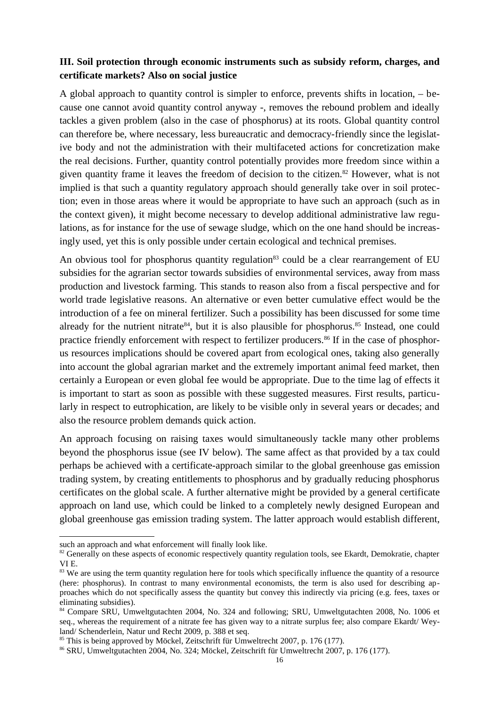# **III. Soil protection through economic instruments such as subsidy reform, charges, and certificate markets? Also on social justice**

A global approach to quantity control is simpler to enforce, prevents shifts in location, – because one cannot avoid quantity control anyway -, removes the rebound problem and ideally tackles a given problem (also in the case of phosphorus) at its roots. Global quantity control can therefore be, where necessary, less bureaucratic and democracy-friendly since the legislative body and not the administration with their multifaceted actions for concretization make the real decisions. Further, quantity control potentially provides more freedom since within a given quantity frame it leaves the freedom of decision to the citizen.<sup>82</sup> However, what is not implied is that such a quantity regulatory approach should generally take over in soil protection; even in those areas where it would be appropriate to have such an approach (such as in the context given), it might become necessary to develop additional administrative law regulations, as for instance for the use of sewage sludge, which on the one hand should be increasingly used, yet this is only possible under certain ecological and technical premises.

An obvious tool for phosphorus quantity regulation<sup>83</sup> could be a clear rearrangement of EU subsidies for the agrarian sector towards subsidies of environmental services, away from mass production and livestock farming. This stands to reason also from a fiscal perspective and for world trade legislative reasons. An alternative or even better cumulative effect would be the introduction of a fee on mineral fertilizer. Such a possibility has been discussed for some time already for the nutrient nitrate<sup>84</sup>, but it is also plausible for phosphorus.<sup>85</sup> Instead, one could practice friendly enforcement with respect to fertilizer producers.86 If in the case of phosphorus resources implications should be covered apart from ecological ones, taking also generally into account the global agrarian market and the extremely important animal feed market, then certainly a European or even global fee would be appropriate. Due to the time lag of effects it is important to start as soon as possible with these suggested measures. First results, particularly in respect to eutrophication, are likely to be visible only in several years or decades; and also the resource problem demands quick action.

An approach focusing on raising taxes would simultaneously tackle many other problems beyond the phosphorus issue (see IV below). The same affect as that provided by a tax could perhaps be achieved with a certificate-approach similar to the global greenhouse gas emission trading system, by creating entitlements to phosphorus and by gradually reducing phosphorus certificates on the global scale. A further alternative might be provided by a general certificate approach on land use, which could be linked to a completely newly designed European and global greenhouse gas emission trading system. The latter approach would establish different,

such an approach and what enforcement will finally look like.

<sup>&</sup>lt;sup>82</sup> Generally on these aspects of economic respectively quantity regulation tools, see Ekardt, Demokratie, chapter VI E.

<sup>&</sup>lt;sup>83</sup> We are using the term quantity regulation here for tools which specifically influence the quantity of a resource (here: phosphorus). In contrast to many environmental economists, the term is also used for describing approaches which do not specifically assess the quantity but convey this indirectly via pricing (e.g. fees, taxes or eliminating subsidies).

<sup>84</sup> Compare SRU, Umweltgutachten 2004, No. 324 and following; SRU, Umweltgutachten 2008, No. 1006 et seq., whereas the requirement of a nitrate fee has given way to a nitrate surplus fee; also compare Ekardt/ Weyland/ Schenderlein, Natur und Recht 2009, p. 388 et seq.

<sup>&</sup>lt;sup>85</sup> This is being approved by Möckel, Zeitschrift für Umweltrecht 2007, p. 176 (177).

<sup>86</sup> SRU, Umweltgutachten 2004, No. 324; Möckel, Zeitschrift für Umweltrecht 2007, p. 176 (177).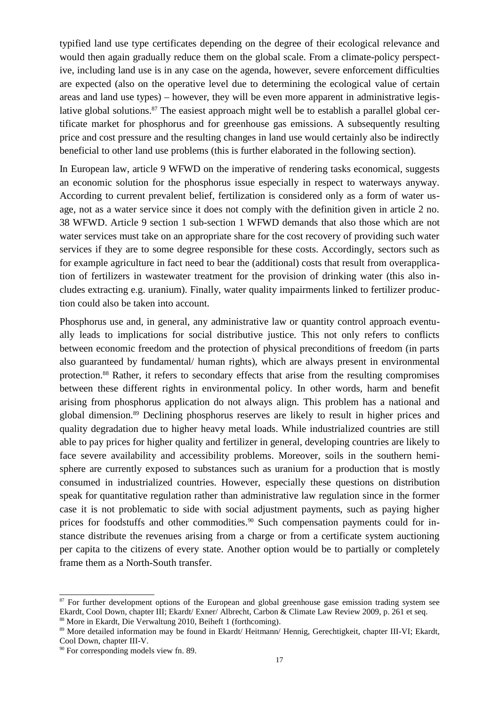typified land use type certificates depending on the degree of their ecological relevance and would then again gradually reduce them on the global scale. From a climate-policy perspective, including land use is in any case on the agenda, however, severe enforcement difficulties are expected (also on the operative level due to determining the ecological value of certain areas and land use types) – however, they will be even more apparent in administrative legislative global solutions.<sup>87</sup> The easiest approach might well be to establish a parallel global certificate market for phosphorus and for greenhouse gas emissions. A subsequently resulting price and cost pressure and the resulting changes in land use would certainly also be indirectly beneficial to other land use problems (this is further elaborated in the following section).

In European law, article 9 WFWD on the imperative of rendering tasks economical, suggests an economic solution for the phosphorus issue especially in respect to waterways anyway. According to current prevalent belief, fertilization is considered only as a form of water usage, not as a water service since it does not comply with the definition given in article 2 no. 38 WFWD. Article 9 section 1 sub-section 1 WFWD demands that also those which are not water services must take on an appropriate share for the cost recovery of providing such water services if they are to some degree responsible for these costs. Accordingly, sectors such as for example agriculture in fact need to bear the (additional) costs that result from overapplication of fertilizers in wastewater treatment for the provision of drinking water (this also includes extracting e.g. uranium). Finally, water quality impairments linked to fertilizer production could also be taken into account.

Phosphorus use and, in general, any administrative law or quantity control approach eventually leads to implications for social distributive justice. This not only refers to conflicts between economic freedom and the protection of physical preconditions of freedom (in parts also guaranteed by fundamental/ human rights), which are always present in environmental protection.<sup>88</sup> Rather, it refers to secondary effects that arise from the resulting compromises between these different rights in environmental policy. In other words, harm and benefit arising from phosphorus application do not always align. This problem has a national and global dimension.<sup>89</sup> Declining phosphorus reserves are likely to result in higher prices and quality degradation due to higher heavy metal loads. While industrialized countries are still able to pay prices for higher quality and fertilizer in general, developing countries are likely to face severe availability and accessibility problems. Moreover, soils in the southern hemisphere are currently exposed to substances such as uranium for a production that is mostly consumed in industrialized countries. However, especially these questions on distribution speak for quantitative regulation rather than administrative law regulation since in the former case it is not problematic to side with social adjustment payments, such as paying higher prices for foodstuffs and other commodities.<sup>90</sup> Such compensation payments could for instance distribute the revenues arising from a charge or from a certificate system auctioning per capita to the citizens of every state. Another option would be to partially or completely frame them as a North-South transfer.

<sup>&</sup>lt;sup>87</sup> For further development options of the European and global greenhouse gase emission trading system see Ekardt, Cool Down, chapter III; Ekardt/ Exner/ Albrecht, Carbon & Climate Law Review 2009, p. 261 et seq.

<sup>88</sup> More in Ekardt, Die Verwaltung 2010, Beiheft 1 (forthcoming).

<sup>89</sup> More detailed information may be found in Ekardt/ Heitmann/ Hennig, Gerechtigkeit, chapter III-VI; Ekardt, Cool Down, chapter III-V.

 $90$  For corresponding models view fn. 89.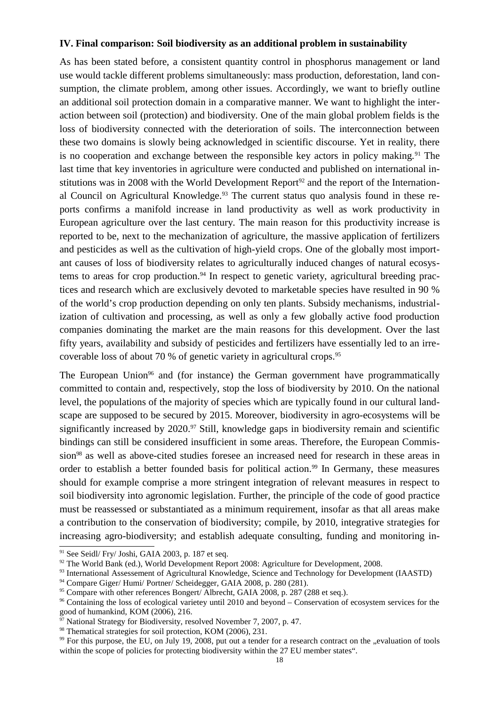#### **IV. Final comparison: Soil biodiversity as an additional problem in sustainability**

As has been stated before, a consistent quantity control in phosphorus management or land use would tackle different problems simultaneously: mass production, deforestation, land consumption, the climate problem, among other issues. Accordingly, we want to briefly outline an additional soil protection domain in a comparative manner. We want to highlight the interaction between soil (protection) and biodiversity. One of the main global problem fields is the loss of biodiversity connected with the deterioration of soils. The interconnection between these two domains is slowly being acknowledged in scientific discourse. Yet in reality, there is no cooperation and exchange between the responsible key actors in policy making.<sup>91</sup> The last time that key inventories in agriculture were conducted and published on international institutions was in 2008 with the World Development Report<sup>92</sup> and the report of the International Council on Agricultural Knowledge.<sup>93</sup> The current status quo analysis found in these reports confirms a manifold increase in land productivity as well as work productivity in European agriculture over the last century. The main reason for this productivity increase is reported to be, next to the mechanization of agriculture, the massive application of fertilizers and pesticides as well as the cultivation of high-yield crops. One of the globally most important causes of loss of biodiversity relates to agriculturally induced changes of natural ecosystems to areas for crop production.<sup>94</sup> In respect to genetic variety, agricultural breeding practices and research which are exclusively devoted to marketable species have resulted in 90 % of the world's crop production depending on only ten plants. Subsidy mechanisms, industrialization of cultivation and processing, as well as only a few globally active food production companies dominating the market are the main reasons for this development. Over the last fifty years, availability and subsidy of pesticides and fertilizers have essentially led to an irrecoverable loss of about 70 % of genetic variety in agricultural crops.<sup>95</sup>

The European Union<sup>96</sup> and (for instance) the German government have programmatically committed to contain and, respectively, stop the loss of biodiversity by 2010. On the national level, the populations of the majority of species which are typically found in our cultural landscape are supposed to be secured by 2015. Moreover, biodiversity in agro-ecosystems will be significantly increased by  $2020$ .<sup>97</sup> Still, knowledge gaps in biodiversity remain and scientific bindings can still be considered insufficient in some areas. Therefore, the European Commission<sup>98</sup> as well as above-cited studies foresee an increased need for research in these areas in order to establish a better founded basis for political action.<sup>99</sup> In Germany, these measures should for example comprise a more stringent integration of relevant measures in respect to soil biodiversity into agronomic legislation. Further, the principle of the code of good practice must be reassessed or substantiated as a minimum requirement, insofar as that all areas make a contribution to the conservation of biodiversity; compile, by 2010, integrative strategies for increasing agro-biodiversity; and establish adequate consulting, funding and monitoring in-

 $91$  See Seidl/ Fry/ Joshi, GAIA 2003, p. 187 et seq.

 $92$  The World Bank (ed.), World Development Report 2008: Agriculture for Development, 2008.

<sup>93</sup> International Assessement of Agricultural Knowledge, Science and Technology for Development (IAASTD)

<sup>94</sup> Compare Giger/ Humi/ Portner/ Scheidegger, GAIA 2008, p. 280 (281).

<sup>&</sup>lt;sup>95</sup> Compare with other references Bongert/ Albrecht, GAIA 2008, p. 287 (288 et seq.).

<sup>&</sup>lt;sup>96</sup> Containing the loss of ecological varietey until 2010 and beyond – Conservation of ecosystem services for the good of humankind, KOM (2006), 216.

<sup>97</sup> National Strategy for Biodiversity, resolved November 7, 2007, p. 47.

<sup>&</sup>lt;sup>98</sup> Thematical strategies for soil protection, KOM (2006), 231.

 $99$  For this purpose, the EU, on July 19, 2008, put out a tender for a research contract on the "evaluation of tools within the scope of policies for protecting biodiversity within the 27 EU member states".